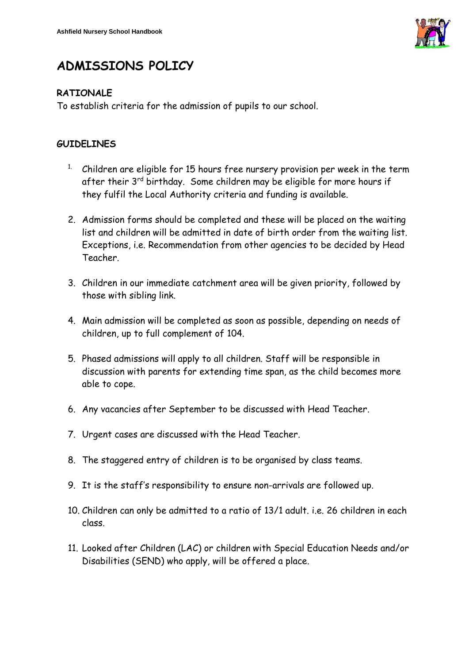

## **ADMISSIONS POLICY**

## **RATIONALE**

To establish criteria for the admission of pupils to our school.

## **GUIDELINES**

- <sup>1.</sup> Children are eligible for 15 hours free nursery provision per week in the term after their 3<sup>rd</sup> birthday. Some children may be eligible for more hours if they fulfil the Local Authority criteria and funding is available.
- 2. Admission forms should be completed and these will be placed on the waiting list and children will be admitted in date of birth order from the waiting list. Exceptions, i.e. Recommendation from other agencies to be decided by Head Teacher.
- 3. Children in our immediate catchment area will be given priority, followed by those with sibling link.
- 4. Main admission will be completed as soon as possible, depending on needs of children, up to full complement of 104.
- 5. Phased admissions will apply to all children. Staff will be responsible in discussion with parents for extending time span, as the child becomes more able to cope.
- 6. Any vacancies after September to be discussed with Head Teacher.
- 7. Urgent cases are discussed with the Head Teacher.
- 8. The staggered entry of children is to be organised by class teams.
- 9. It is the staff's responsibility to ensure non-arrivals are followed up.
- 10. Children can only be admitted to a ratio of 13/1 adult. i.e. 26 children in each class.
- 11. Looked after Children (LAC) or children with Special Education Needs and/or Disabilities (SEND) who apply, will be offered a place.